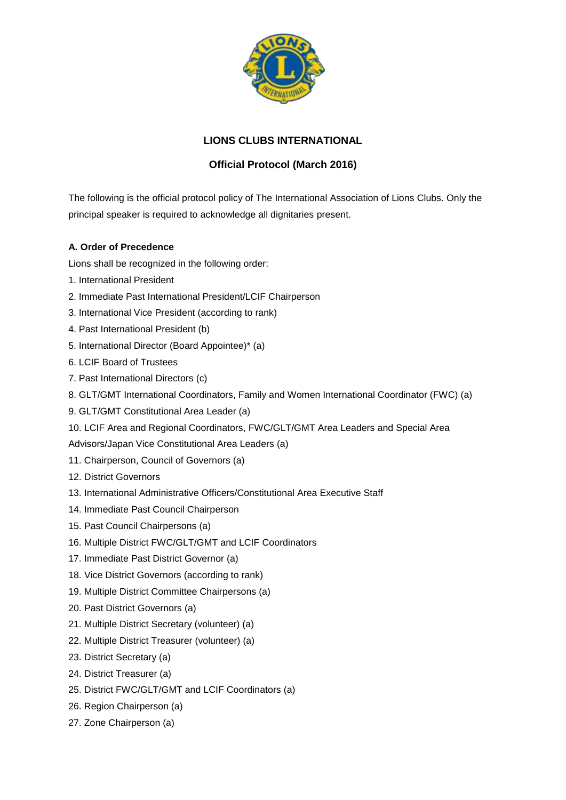

## **LIONS CLUBS INTERNATIONAL**

## **Official Protocol (March 2016)**

The following is the official protocol policy of The International Association of Lions Clubs. Only the principal speaker is required to acknowledge all dignitaries present.

## **A. Order of Precedence**

Lions shall be recognized in the following order:

- 1. International President
- 2. Immediate Past International President/LCIF Chairperson
- 3. International Vice President (according to rank)
- 4. Past International President (b)
- 5. International Director (Board Appointee)\* (a)
- 6. LCIF Board of Trustees
- 7. Past International Directors (c)
- 8. GLT/GMT International Coordinators, Family and Women International Coordinator (FWC) (a)
- 9. GLT/GMT Constitutional Area Leader (a)
- 10. LCIF Area and Regional Coordinators, FWC/GLT/GMT Area Leaders and Special Area

Advisors/Japan Vice Constitutional Area Leaders (a)

- 11. Chairperson, Council of Governors (a)
- 12. District Governors
- 13. International Administrative Officers/Constitutional Area Executive Staff
- 14. Immediate Past Council Chairperson
- 15. Past Council Chairpersons (a)
- 16. Multiple District FWC/GLT/GMT and LCIF Coordinators
- 17. Immediate Past District Governor (a)
- 18. Vice District Governors (according to rank)
- 19. Multiple District Committee Chairpersons (a)
- 20. Past District Governors (a)
- 21. Multiple District Secretary (volunteer) (a)
- 22. Multiple District Treasurer (volunteer) (a)
- 23. District Secretary (a)
- 24. District Treasurer (a)
- 25. District FWC/GLT/GMT and LCIF Coordinators (a)
- 26. Region Chairperson (a)
- 27. Zone Chairperson (a)